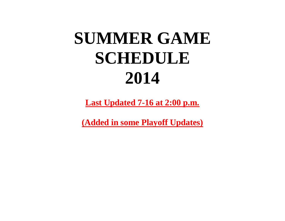## **SUMMER GAME SCHEDULE 2014**

**Last Updated 7-16 at 2:00 p.m.**

**(Added in some Playoff Updates)**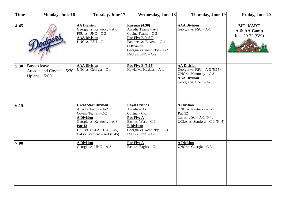| <b>Time</b> | Monday, June 16                                                    | <b>Tuesday, June 17</b>                                                                                                                                                                                | <b>Wednesday, June 18</b>                                                                                                                                                                   | Thursday, June 19                                                                                                               | Friday, June 20                              |
|-------------|--------------------------------------------------------------------|--------------------------------------------------------------------------------------------------------------------------------------------------------------------------------------------------------|---------------------------------------------------------------------------------------------------------------------------------------------------------------------------------------------|---------------------------------------------------------------------------------------------------------------------------------|----------------------------------------------|
| 4:45        |                                                                    | <b>AA Division</b><br>Georgia vs. Kentucky - A-3<br>FSU vs. $UNC - C-3$<br><b>AAA Division</b><br>UNC vs. $FSU - C-1$                                                                                  | Karenas $(4:30)$<br>Arcadia Teams - A-3<br>Covina Teams - C-3<br>Pac Five B (4:30)<br>Panthers vs. Ravens - C-1<br><b>C</b> Division<br>Georgia vs. Kentucky - A-2<br>$FSU$ vs. $UNC - C-2$ | <b>AAA Division</b><br>Georgia vs. $FSU - A-1$                                                                                  | MT. KARE<br>A & AA Camp<br>June 20-22 (\$89) |
| 5:30        | <b>Busses</b> leave<br>Arcadia and Covina - 5:30<br>Upland $-5:00$ | <b>AAA Division</b><br>UNC vs. Georgia $-$ C-1                                                                                                                                                         | <b>Pac Five B (5:15)</b><br>Hawks vs. Huskies - A-1                                                                                                                                         | <b>AA Division</b><br>Georgia vs. $FSU - A-3$ (5:15)<br>UNC vs. Kentucky $-C-3$<br><b>AAA Division</b><br>Georgia vs. UNC - A-1 |                                              |
| 6:15        |                                                                    | <b>Great Start Division</b><br>Arcadia Teams - A-2<br>Covina Teams - C-2<br><b>A Division</b><br>Georgia vs. Kentucky - A-3<br>Pac 12<br>USC vs. UCLA $-C-1$ (6:45)<br>Cal vs. Stanford $- A-1$ (6:45) | <b>Royal Friends</b><br>Arcadia - A-1<br>Covina $-C-2$<br>Pac Five A<br>East vs. West $-C-1$<br><b>B</b> Division<br>Georgia vs. Kentucky $- A - 3$<br>$FSU$ vs. $UNC - C-3$                | <b>A Division</b><br>UNC vs. Kentucky $-C-3$<br>Pac 12<br>Cal vs. $USC - A-1$ (6:45)<br>UCLA vs. Stanford $-C-1$ (6:45)         |                                              |
| 7:00        |                                                                    | <b>A Division</b><br>Georgia vs. $UNC - A-3$                                                                                                                                                           | Pac Five A<br>East vs. Eagles $-C-1$                                                                                                                                                        | <b>A Division</b><br>UNC vs. Georgia $-$ C-3                                                                                    |                                              |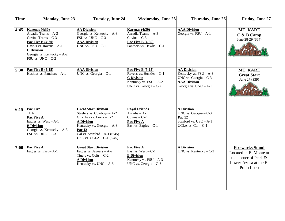| Time | <b>Monday, June 23</b>                                                                                                                                                                        | <b>Tuesday, June 24</b>                                                                                                                                                                                                | <b>Wednesday, June 25</b>                                                                                                        | Thursday, June 26                                                                                                          | Friday, June 27                                                                                                 |
|------|-----------------------------------------------------------------------------------------------------------------------------------------------------------------------------------------------|------------------------------------------------------------------------------------------------------------------------------------------------------------------------------------------------------------------------|----------------------------------------------------------------------------------------------------------------------------------|----------------------------------------------------------------------------------------------------------------------------|-----------------------------------------------------------------------------------------------------------------|
| 4:45 | <b>Karenas (4:30)</b><br>Arcadia Teams - A-3<br>Covina Teams - C-3<br>Pac Five B (4:30)<br>Hawks vs. Ravens - A-1<br><b>C</b> Division<br>Georgia vs. Kentucky - A-2<br>$FSU$ vs. $UNC - C-2$ | <b>AA Division</b><br>Georgia vs. Kentucky $- A - 3$<br>$FSU$ vs. $UNC - C-3$<br><b>AAA Division</b><br>UNC vs. $FSU - C-1$                                                                                            | <b>Karenas (4:30)</b><br>Arcadia Teams - A-3<br>Covina $-C-3$<br>Pac Five B (4:30)<br>Panthers vs. Hawks $-C-1$                  | <b>AAA Division</b><br>Georgia vs. $FSU - A-1$                                                                             | MT. KARE<br>$C$ & B Camp<br>June 28-29 (\$64)                                                                   |
| 5:30 | <b>Pac Five B (5:15)</b><br>Huskies vs. Panthers $- A - 1$                                                                                                                                    | <b>AAA Division</b><br>UNC vs. Georgia $-$ C-1                                                                                                                                                                         | <b>Pac Five B (5:15)</b><br>Ravens vs. Huskies - C-1<br><b>C</b> Division<br>Kentucky vs. $FSU - A-2$<br>UNC vs. Georgia $-$ C-2 | <b>AA Division</b><br>Kentucky vs. $FSU - A-3$<br>UNC vs. Georgia $-C-3$<br><b>AAA Division</b><br>Georgia vs. $UNC - A-1$ | MT. KARE<br><b>Great Start</b><br>June 27 (\$39)                                                                |
| 6:15 | <b>Pac Five</b><br><b>TBA</b><br>Pac Five A<br>Eagles vs. $West - A-1$<br><b>B</b> Division<br>Georgia vs. Kentucky - A-3<br>FSU vs. $UNC - C-3$                                              | <b>Great Start Division</b><br>Steelers vs. Cowboys - A-2<br>Grizzlies vs. Lions $-C-2$<br><b>A Division</b><br>Kentucky vs. Georgia - A-3<br>Pac 12<br>Cal vs. Stanford $- A-1$ (6:45)<br>USC vs. UCLA $-$ C-1 (6:45) | <b>Royal Friends</b><br>Arcadia - A-1<br>Covina $-C-2$<br>Pac Five A<br>East vs. Eagles - C-1                                    | <b>A Division</b><br>UNC vs. Georgia - C-3<br>Pac 12<br>Stanford vs. $USC - A-1$<br>UCLA vs. $Cal - C-1$                   |                                                                                                                 |
| 7:00 | Pac Five A<br>Eagles vs. $East - A-1$                                                                                                                                                         | <b>Great Start Division</b><br>Eagles vs. Jaguars $-A-2$<br>Tigers vs. $Colts - C-2$<br><b>A Division</b><br>Kentucky vs. $UNC - A-3$                                                                                  | Pac Five A<br>East vs. $West - C-1$<br><b>B</b> Division<br>Kentucky vs. $FSU - A-3$<br>UNC vs. Georgia $-C-3$                   | <b>A Division</b><br>UNC vs. Kentucky $-C-3$                                                                               | <b>Fireworks Stand</b><br>Located in El Monte at<br>the corner of Peck &<br>Lower Azusa at the El<br>Pollo Loco |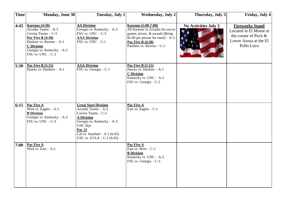| <b>Time</b> | <b>Monday, June 30</b>                                                                                                                                                                            | Tuesday, July 1                                                                                                                                                                                                      | <b>Wednesday</b> , July 2                                                                                                                                                                        | Thursday, July 3            | Friday, July 4                                                                                                  |
|-------------|---------------------------------------------------------------------------------------------------------------------------------------------------------------------------------------------------|----------------------------------------------------------------------------------------------------------------------------------------------------------------------------------------------------------------------|--------------------------------------------------------------------------------------------------------------------------------------------------------------------------------------------------|-----------------------------|-----------------------------------------------------------------------------------------------------------------|
| 4:45        | Karenas $(4:30)$<br>Arcadia Teams - A-3<br>Covina Teams - C-3<br><b>Pac Five B (4:30)</b><br>Huskies vs. Ravens - A-1<br><b>C</b> Division<br>Georgia vs. Kentucky - A-2<br>$FSU$ vs. $UNC - C-2$ | <b>AA Division</b><br>Georgia vs. Kentucky $- A - 3$<br>FSU vs. $UNC - C-3$<br><b>AAA Division</b><br>FSU vs. $UNC - C-1$                                                                                            | <b>Karenas</b> (5:00-7:00)<br>All Karenas in Arcadia for soccer<br>games, picnic, & awards (Bring)<br>\$5.00 per person for meal) $- A - 3$<br>Pac Five B $(4:30)$<br>Panthers vs. Ravens $-C-1$ | <b>No Activities July 3</b> | <b>Fireworks Stand</b><br>Located in El Monte at<br>the corner of Peck &<br>Lower Azusa at the El<br>Pollo Loco |
| 5:30        | <b>Pac Five B (5:15)</b><br>Hawks vs. Panthers $- A-1$                                                                                                                                            | <b>AAA Division</b><br>FSU vs. Georgia - C-1                                                                                                                                                                         | <b>Pac Five B (5:15)</b><br>Hawks vs. Huskies - A-1<br><b>C</b> Division<br>Kentucky vs. $UNC - A-2$<br>FSU vs. Georgia - C-2                                                                    |                             |                                                                                                                 |
| 6:15        | Pac Five A<br>West vs. Eagles $-A-1$<br><b>B</b> Division<br>Georgia vs. Kentucky $- A - 3$<br>$FSU$ vs. $UNC - C-3$                                                                              | <b>Great Start Division</b><br>Arcadia Teams - A-2<br>Covina Teams - C-2<br><b>A Division</b><br>Georgia vs. Kentucky - A-3<br>UNC Bye<br>Pac 12<br>Cal vs. Stanford $- A-1$ (6:45)<br>$USC$ vs. $UCLA - C-1$ (6:45) | Pac Five A<br>East vs. Eagles $-C-1$                                                                                                                                                             |                             |                                                                                                                 |
| 7:00        | Pac Five A<br>West vs. $East - A-1$                                                                                                                                                               |                                                                                                                                                                                                                      | Pac Five A<br>East vs. West $-C-1$<br><b>B</b> Division<br>Kentucky vs. $UNC - A-3$<br>FSU vs. Georgia - C-3                                                                                     |                             |                                                                                                                 |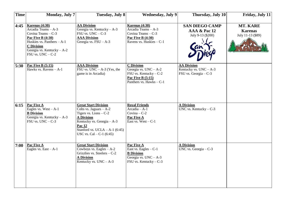| <b>Time</b> | <b>Monday</b> , July 7                                                                                                                                                                             | <b>Tuesday, July 8</b>                                                                                                                                                                                               | Wednesday, July 9                                                                                                               | Thursday, July 10                                                       | Friday, July 11                                 |
|-------------|----------------------------------------------------------------------------------------------------------------------------------------------------------------------------------------------------|----------------------------------------------------------------------------------------------------------------------------------------------------------------------------------------------------------------------|---------------------------------------------------------------------------------------------------------------------------------|-------------------------------------------------------------------------|-------------------------------------------------|
| 4:45        | Karenas $(4:30)$<br>Arcadia Teams - A-3<br>Covina Teams - C-3<br>Pac Five B $(4:30)$<br>Huskies vs. Panthers $- A - 1$<br><b>C</b> Division<br>Georgia vs. Kentucky - A-2<br>$FSU$ vs. $UNC - C-2$ | <b>AA Division</b><br>Georgia vs. Kentucky $-A-3$<br>FSU vs. $UNC - C-3$<br><b>AAA Division</b><br>Georgia vs. FSU - A-3                                                                                             | Karenas (4:30)<br>Arcadia Teams - A-3<br>Covina Teams - C-3<br>Pac Five B (4:30)<br>Ravens vs. $H \overline{uskies} - C-1$      | <b>SAN DIEGO CAMP</b><br>AAA & Pac 12<br>July 9-13 (\$200)              | MT. KARE<br><b>Karenas</b><br>July 11-13 (\$89) |
| 5:30        | <b>Pac Five B (5:15)</b><br>Hawks vs. Ravens - A-1                                                                                                                                                 | <b>AAA Division</b><br>FSU vs. $UNC - A-3$ (Yes, the<br>game is in Arcadia)                                                                                                                                          | <b>C</b> Division<br>Georgia vs. $UNC - A-2$<br>FSU vs. Kentucky - C-2<br><b>Pac Five B (5:15)</b><br>Panthers vs. Hawks $-C-1$ | <b>AA Division</b><br>Kentucky vs. $UNC - A-3$<br>FSU vs. Georgia - C-3 |                                                 |
| 6:15        | Pac Five A<br>Eagles vs. $West - A-1$<br><b>B</b> Division<br>Georgia vs. Kentucky - A-3<br>$FSU$ vs. $UNC - C-3$                                                                                  | <b>Great Start Division</b><br>Colts vs. Jaguars $- A - 2$<br>Tigers vs. Lions $-C-2$<br><b>A Division</b><br>Kentucky vs. Georgia - A-3<br>Pac 12<br>Stanford vs. UCLA $-$ A-1 (6:45)<br>USC vs. $Cal - C-1$ (6:45) | <b>Royal Friends</b><br>Arcadia - A-1<br>Covina $-C-2$<br>Pac Five A<br>East vs. West $-C-1$                                    | <b>A Division</b><br>UNC vs. Kentucky $-C-3$                            |                                                 |
| 7:00        | Pac Five A<br>Eagles vs. $East - A-1$                                                                                                                                                              | <b>Great Start Division</b><br>Cowboys vs. Eagles $-A-2$<br>Grizzlies vs. Steelers $-C-2$<br><b>A Division</b><br>Kentucky vs. $UNC - A-3$                                                                           | Pac Five A<br>East vs. Eagles $-C-1$<br><b>B</b> Division<br>Georgia vs. $UNC - A-3$<br>FSU vs. Kentucky $-C-3$                 | <b>A Division</b><br>UNC vs. Georgia $-C-3$                             |                                                 |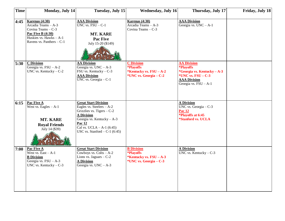| <b>Time</b> | Monday, July 14                                                                                                                                         | Tuesday, July 15                                                                                                                                                                                                          | <b>Wednesday, July 16</b>                                                                                         | Thursday, July 17                                                                                                                                                    | Friday, July 18 |
|-------------|---------------------------------------------------------------------------------------------------------------------------------------------------------|---------------------------------------------------------------------------------------------------------------------------------------------------------------------------------------------------------------------------|-------------------------------------------------------------------------------------------------------------------|----------------------------------------------------------------------------------------------------------------------------------------------------------------------|-----------------|
| 4:45        | <b>Karenas (4:30)</b><br>Arcadia Teams - A-3<br>Covina Teams - C-3<br><b>Pac Five B (4:30)</b><br>Huskies vs. Hawks - A-1<br>Ravens vs. Panthers $-C-1$ | <b>AAA Division</b><br>$\overline{UNC}$ vs. $\overline{FSU}$ – $C-1$<br>MT. KARE<br><b>Pac Five</b><br>July 15-20 (\$149)                                                                                                 | Karenas $(4:30)$<br>Arcadia Teams - A-3<br>Covina Teams - C-3                                                     | <b>AAA Division</b><br>Georgia vs. $\overline{UNC} - A-1$                                                                                                            |                 |
| 5:30        | <b>C</b> Division<br>Georgia vs. $FSU - A-2$<br>UNC vs. Kentucky $-C-2$                                                                                 | <b>AA Division</b><br>Georgia vs. $UNC - A-3$<br>FSU vs. Kentucky $-C-3$<br><b>AAA Division</b><br>UNC vs. Georgia $-$ C-1                                                                                                | <b>C</b> Division<br>*Playoffs<br>*Kentucky vs. FSU - A-2<br>*UNC vs. Georgia – C-2                               | <b>AA Division</b><br><i><b>*Playoffs</b></i><br>*Georgia vs. Kentucky – A-3<br>*UNC vs. $\text{FSU} - \text{C-3}$<br><b>AAA Division</b><br>Georgia vs. $FSU - A-1$ |                 |
| 6:15        | Pac Five A<br>West vs. Eagles $- A - 1$<br><b>MT. KARE</b><br><b>Royal Friends</b><br>July 14 (\$39)                                                    | <b>Great Start Division</b><br>Eagles vs. Steelers $- A - 2$<br>Grizzlies vs. Tigers $-C-2$<br><b>A Division</b><br>Georgia vs. Kentucky - A-3<br>Pac 12<br>Cal vs. UCLA $-$ A-1 (6:45)<br>USC vs. Stanford $-C-1$ (6:45) |                                                                                                                   | <b>A Division</b><br>UNC vs. Georgia - C-3<br><b>Pac 12</b><br>*Playoffs at 6:45<br>*Stanford vs. UCLA                                                               |                 |
| 7:00        | Pac Five A<br>West vs. $East - A-1$<br><b>B</b> Division<br>Georgia vs. $FSU - A-3$<br>UNC vs. Kentucky $-C-3$                                          | <b>Great Start Division</b><br>Cowboys vs. $Colts - A-2$<br>Lions vs. Jaguars $-C-2$<br><b>A Division</b><br>Georgia vs. $UNC - A-3$                                                                                      | <b>B</b> Division<br><i><b>*Playoffs</b></i><br>*Kentucky vs. $\text{FSU} - \text{A-3}$<br>*UNC vs. Georgia - C-3 | <b>A Division</b><br>UNC vs. Kentucky $-C-3$                                                                                                                         |                 |